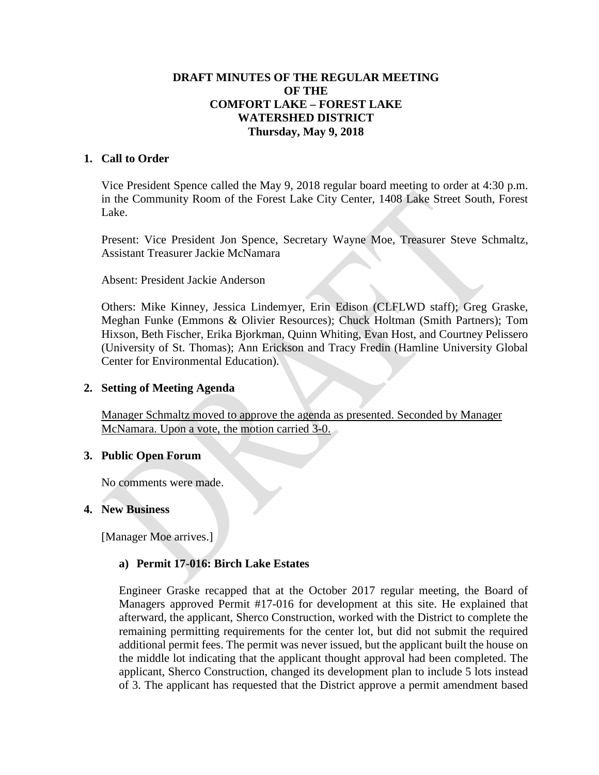## **DRAFT MINUTES OF THE REGULAR MEETING OF THE COMFORT LAKE – FOREST LAKE WATERSHED DISTRICT Thursday, May 9, 2018**

### **1. Call to Order**

Vice President Spence called the May 9, 2018 regular board meeting to order at 4:30 p.m. in the Community Room of the Forest Lake City Center, 1408 Lake Street South, Forest Lake.

Present: Vice President Jon Spence, Secretary Wayne Moe, Treasurer Steve Schmaltz, Assistant Treasurer Jackie McNamara

Absent: President Jackie Anderson

Others: Mike Kinney, Jessica Lindemyer, Erin Edison (CLFLWD staff); Greg Graske, Meghan Funke (Emmons & Olivier Resources); Chuck Holtman (Smith Partners); Tom Hixson, Beth Fischer, Erika Bjorkman, Quinn Whiting, Evan Host, and Courtney Pelissero (University of St. Thomas); Ann Erickson and Tracy Fredin (Hamline University Global Center for Environmental Education).

#### **2. Setting of Meeting Agenda**

Manager Schmaltz moved to approve the agenda as presented. Seconded by Manager McNamara. Upon a vote, the motion carried 3-0.

### **3. Public Open Forum**

No comments were made.

### **4. New Business**

[Manager Moe arrives.]

### **a) Permit 17-016: Birch Lake Estates**

Engineer Graske recapped that at the October 2017 regular meeting, the Board of Managers approved Permit #17-016 for development at this site. He explained that afterward, the applicant, Sherco Construction, worked with the District to complete the remaining permitting requirements for the center lot, but did not submit the required additional permit fees. The permit was never issued, but the applicant built the house on the middle lot indicating that the applicant thought approval had been completed. The applicant, Sherco Construction, changed its development plan to include 5 lots instead of 3. The applicant has requested that the District approve a permit amendment based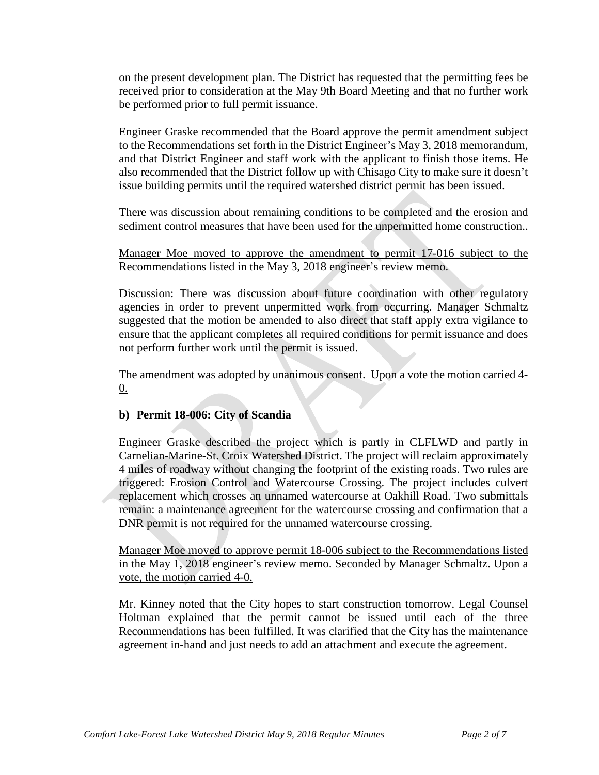on the present development plan. The District has requested that the permitting fees be received prior to consideration at the May 9th Board Meeting and that no further work be performed prior to full permit issuance.

Engineer Graske recommended that the Board approve the permit amendment subject to the Recommendations set forth in the District Engineer's May 3, 2018 memorandum, and that District Engineer and staff work with the applicant to finish those items. He also recommended that the District follow up with Chisago City to make sure it doesn't issue building permits until the required watershed district permit has been issued.

There was discussion about remaining conditions to be completed and the erosion and sediment control measures that have been used for the unpermitted home construction..

Manager Moe moved to approve the amendment to permit 17-016 subject to the Recommendations listed in the May 3, 2018 engineer's review memo.

Discussion: There was discussion about future coordination with other regulatory agencies in order to prevent unpermitted work from occurring. Manager Schmaltz suggested that the motion be amended to also direct that staff apply extra vigilance to ensure that the applicant completes all required conditions for permit issuance and does not perform further work until the permit is issued.

The amendment was adopted by unanimous consent. Upon a vote the motion carried 4- 0.

## **b) Permit 18-006: City of Scandia**

Engineer Graske described the project which is partly in CLFLWD and partly in Carnelian-Marine-St. Croix Watershed District. The project will reclaim approximately 4 miles of roadway without changing the footprint of the existing roads. Two rules are triggered: Erosion Control and Watercourse Crossing. The project includes culvert replacement which crosses an unnamed watercourse at Oakhill Road. Two submittals remain: a maintenance agreement for the watercourse crossing and confirmation that a DNR permit is not required for the unnamed watercourse crossing.

Manager Moe moved to approve permit 18-006 subject to the Recommendations listed in the May 1, 2018 engineer's review memo. Seconded by Manager Schmaltz. Upon a vote, the motion carried 4-0.

Mr. Kinney noted that the City hopes to start construction tomorrow. Legal Counsel Holtman explained that the permit cannot be issued until each of the three Recommendations has been fulfilled. It was clarified that the City has the maintenance agreement in-hand and just needs to add an attachment and execute the agreement.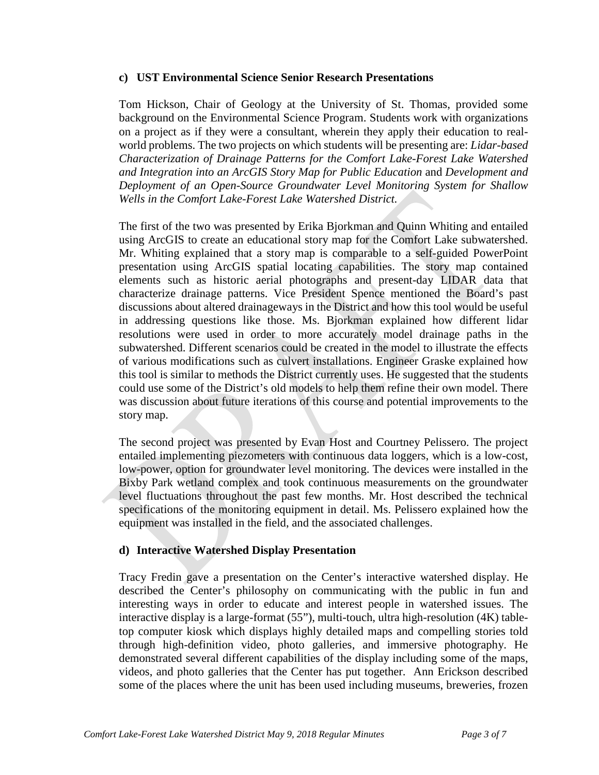### **c) UST Environmental Science Senior Research Presentations**

Tom Hickson, Chair of Geology at the University of St. Thomas, provided some background on the Environmental Science Program. Students work with organizations on a project as if they were a consultant, wherein they apply their education to realworld problems. The two projects on which students will be presenting are: *Lidar-based Characterization of Drainage Patterns for the Comfort Lake-Forest Lake Watershed and Integration into an ArcGIS Story Map for Public Education* and *Development and Deployment of an Open-Source Groundwater Level Monitoring System for Shallow Wells in the Comfort Lake-Forest Lake Watershed District.*

The first of the two was presented by Erika Bjorkman and Quinn Whiting and entailed using ArcGIS to create an educational story map for the Comfort Lake subwatershed. Mr. Whiting explained that a story map is comparable to a self-guided PowerPoint presentation using ArcGIS spatial locating capabilities. The story map contained elements such as historic aerial photographs and present-day LIDAR data that characterize drainage patterns. Vice President Spence mentioned the Board's past discussions about altered drainageways in the District and how this tool would be useful in addressing questions like those. Ms. Bjorkman explained how different lidar resolutions were used in order to more accurately model drainage paths in the subwatershed. Different scenarios could be created in the model to illustrate the effects of various modifications such as culvert installations. Engineer Graske explained how this tool is similar to methods the District currently uses. He suggested that the students could use some of the District's old models to help them refine their own model. There was discussion about future iterations of this course and potential improvements to the story map.

The second project was presented by Evan Host and Courtney Pelissero. The project entailed implementing piezometers with continuous data loggers, which is a low-cost, low-power, option for groundwater level monitoring. The devices were installed in the Bixby Park wetland complex and took continuous measurements on the groundwater level fluctuations throughout the past few months. Mr. Host described the technical specifications of the monitoring equipment in detail. Ms. Pelissero explained how the equipment was installed in the field, and the associated challenges.

### **d) Interactive Watershed Display Presentation**

Tracy Fredin gave a presentation on the Center's interactive watershed display. He described the Center's philosophy on communicating with the public in fun and interesting ways in order to educate and interest people in watershed issues. The interactive display is a large-format (55"), multi-touch, ultra high-resolution (4K) tabletop computer kiosk which displays highly detailed maps and compelling stories told through high-definition video, photo galleries, and immersive photography. He demonstrated several different capabilities of the display including some of the maps, videos, and photo galleries that the Center has put together. Ann Erickson described some of the places where the unit has been used including museums, breweries, frozen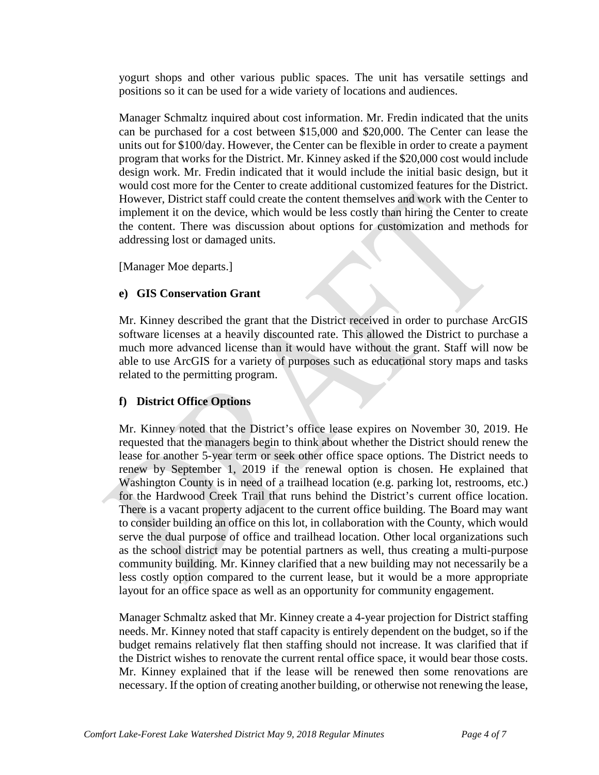yogurt shops and other various public spaces. The unit has versatile settings and positions so it can be used for a wide variety of locations and audiences.

Manager Schmaltz inquired about cost information. Mr. Fredin indicated that the units can be purchased for a cost between \$15,000 and \$20,000. The Center can lease the units out for \$100/day. However, the Center can be flexible in order to create a payment program that works for the District. Mr. Kinney asked if the \$20,000 cost would include design work. Mr. Fredin indicated that it would include the initial basic design, but it would cost more for the Center to create additional customized features for the District. However, District staff could create the content themselves and work with the Center to implement it on the device, which would be less costly than hiring the Center to create the content. There was discussion about options for customization and methods for addressing lost or damaged units.

[Manager Moe departs.]

## **e) GIS Conservation Grant**

Mr. Kinney described the grant that the District received in order to purchase ArcGIS software licenses at a heavily discounted rate. This allowed the District to purchase a much more advanced license than it would have without the grant. Staff will now be able to use ArcGIS for a variety of purposes such as educational story maps and tasks related to the permitting program.

## **f) District Office Options**

Mr. Kinney noted that the District's office lease expires on November 30, 2019. He requested that the managers begin to think about whether the District should renew the lease for another 5-year term or seek other office space options. The District needs to renew by September 1, 2019 if the renewal option is chosen. He explained that Washington County is in need of a trailhead location (e.g. parking lot, restrooms, etc.) for the Hardwood Creek Trail that runs behind the District's current office location. There is a vacant property adjacent to the current office building. The Board may want to consider building an office on this lot, in collaboration with the County, which would serve the dual purpose of office and trailhead location. Other local organizations such as the school district may be potential partners as well, thus creating a multi-purpose community building. Mr. Kinney clarified that a new building may not necessarily be a less costly option compared to the current lease, but it would be a more appropriate layout for an office space as well as an opportunity for community engagement.

Manager Schmaltz asked that Mr. Kinney create a 4-year projection for District staffing needs. Mr. Kinney noted that staff capacity is entirely dependent on the budget, so if the budget remains relatively flat then staffing should not increase. It was clarified that if the District wishes to renovate the current rental office space, it would bear those costs. Mr. Kinney explained that if the lease will be renewed then some renovations are necessary. If the option of creating another building, or otherwise not renewing the lease,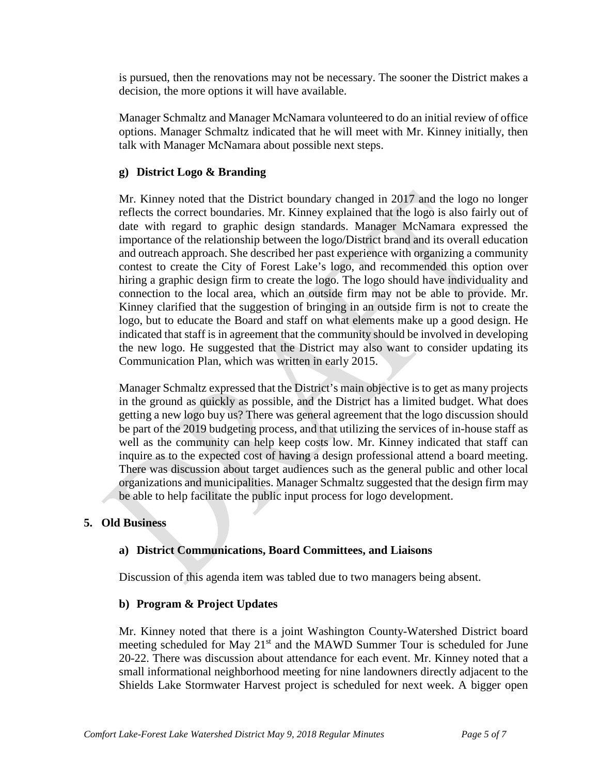is pursued, then the renovations may not be necessary. The sooner the District makes a decision, the more options it will have available.

Manager Schmaltz and Manager McNamara volunteered to do an initial review of office options. Manager Schmaltz indicated that he will meet with Mr. Kinney initially, then talk with Manager McNamara about possible next steps.

## **g) District Logo & Branding**

Mr. Kinney noted that the District boundary changed in 2017 and the logo no longer reflects the correct boundaries. Mr. Kinney explained that the logo is also fairly out of date with regard to graphic design standards. Manager McNamara expressed the importance of the relationship between the logo/District brand and its overall education and outreach approach. She described her past experience with organizing a community contest to create the City of Forest Lake's logo, and recommended this option over hiring a graphic design firm to create the logo. The logo should have individuality and connection to the local area, which an outside firm may not be able to provide. Mr. Kinney clarified that the suggestion of bringing in an outside firm is not to create the logo, but to educate the Board and staff on what elements make up a good design. He indicated that staff is in agreement that the community should be involved in developing the new logo. He suggested that the District may also want to consider updating its Communication Plan, which was written in early 2015.

Manager Schmaltz expressed that the District's main objective is to get as many projects in the ground as quickly as possible, and the District has a limited budget. What does getting a new logo buy us? There was general agreement that the logo discussion should be part of the 2019 budgeting process, and that utilizing the services of in-house staff as well as the community can help keep costs low. Mr. Kinney indicated that staff can inquire as to the expected cost of having a design professional attend a board meeting. There was discussion about target audiences such as the general public and other local organizations and municipalities. Manager Schmaltz suggested that the design firm may be able to help facilitate the public input process for logo development.

## **5. Old Business**

## **a) District Communications, Board Committees, and Liaisons**

Discussion of this agenda item was tabled due to two managers being absent.

### **b) Program & Project Updates**

Mr. Kinney noted that there is a joint Washington County-Watershed District board meeting scheduled for May 21<sup>st</sup> and the MAWD Summer Tour is scheduled for June 20-22. There was discussion about attendance for each event. Mr. Kinney noted that a small informational neighborhood meeting for nine landowners directly adjacent to the Shields Lake Stormwater Harvest project is scheduled for next week. A bigger open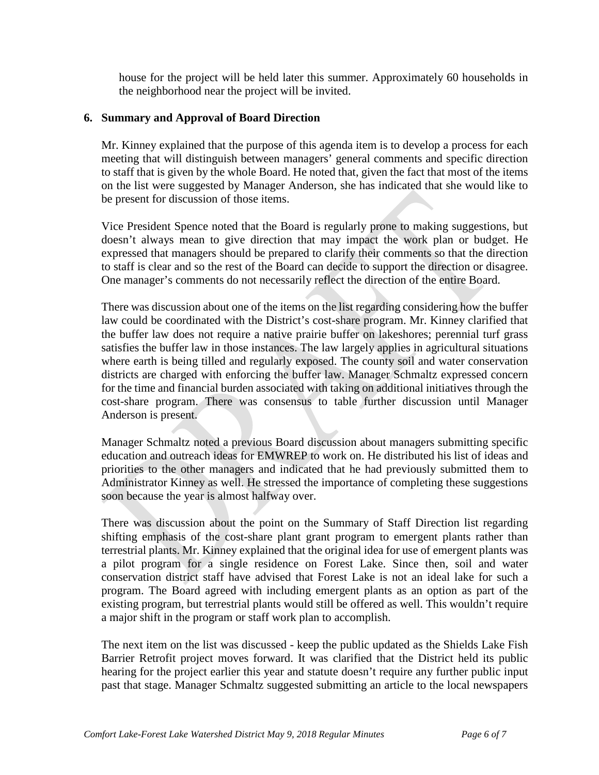house for the project will be held later this summer. Approximately 60 households in the neighborhood near the project will be invited.

## **6. Summary and Approval of Board Direction**

Mr. Kinney explained that the purpose of this agenda item is to develop a process for each meeting that will distinguish between managers' general comments and specific direction to staff that is given by the whole Board. He noted that, given the fact that most of the items on the list were suggested by Manager Anderson, she has indicated that she would like to be present for discussion of those items.

Vice President Spence noted that the Board is regularly prone to making suggestions, but doesn't always mean to give direction that may impact the work plan or budget. He expressed that managers should be prepared to clarify their comments so that the direction to staff is clear and so the rest of the Board can decide to support the direction or disagree. One manager's comments do not necessarily reflect the direction of the entire Board.

There was discussion about one of the items on the list regarding considering how the buffer law could be coordinated with the District's cost-share program. Mr. Kinney clarified that the buffer law does not require a native prairie buffer on lakeshores; perennial turf grass satisfies the buffer law in those instances. The law largely applies in agricultural situations where earth is being tilled and regularly exposed. The county soil and water conservation districts are charged with enforcing the buffer law. Manager Schmaltz expressed concern for the time and financial burden associated with taking on additional initiatives through the cost-share program. There was consensus to table further discussion until Manager Anderson is present.

Manager Schmaltz noted a previous Board discussion about managers submitting specific education and outreach ideas for EMWREP to work on. He distributed his list of ideas and priorities to the other managers and indicated that he had previously submitted them to Administrator Kinney as well. He stressed the importance of completing these suggestions soon because the year is almost halfway over.

There was discussion about the point on the Summary of Staff Direction list regarding shifting emphasis of the cost-share plant grant program to emergent plants rather than terrestrial plants. Mr. Kinney explained that the original idea for use of emergent plants was a pilot program for a single residence on Forest Lake. Since then, soil and water conservation district staff have advised that Forest Lake is not an ideal lake for such a program. The Board agreed with including emergent plants as an option as part of the existing program, but terrestrial plants would still be offered as well. This wouldn't require a major shift in the program or staff work plan to accomplish.

The next item on the list was discussed - keep the public updated as the Shields Lake Fish Barrier Retrofit project moves forward. It was clarified that the District held its public hearing for the project earlier this year and statute doesn't require any further public input past that stage. Manager Schmaltz suggested submitting an article to the local newspapers